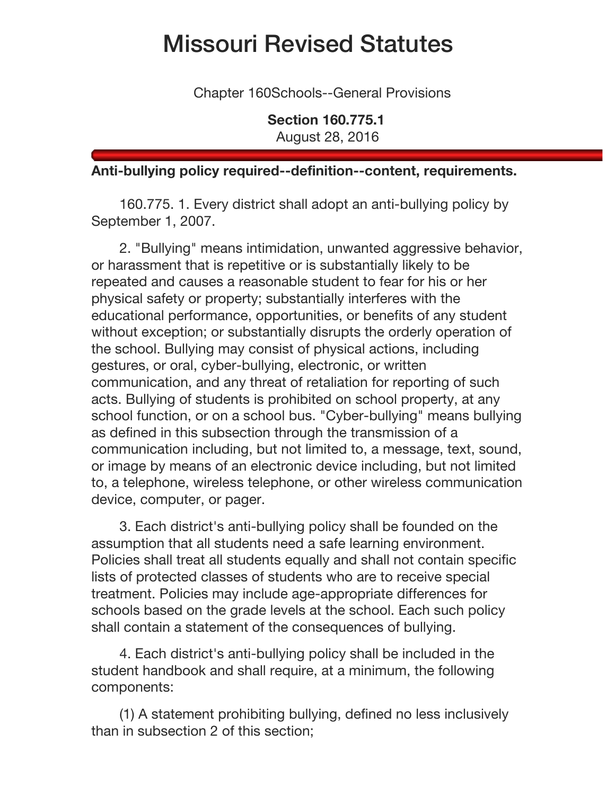## Missouri Revised Statutes

Chapter 160Schools--General Provisions

**Section 160.775.1** August 28, 2016

## **Anti-bullying policy required--definition--content, requirements.**

160.775. 1. Every district shall adopt an anti-bullying policy by September 1, 2007.

2. "Bullying" means intimidation, unwanted aggressive behavior, or harassment that is repetitive or is substantially likely to be repeated and causes a reasonable student to fear for his or her physical safety or property; substantially interferes with the educational performance, opportunities, or benefits of any student without exception; or substantially disrupts the orderly operation of the school. Bullying may consist of physical actions, including gestures, or oral, cyber-bullying, electronic, or written communication, and any threat of retaliation for reporting of such acts. Bullying of students is prohibited on school property, at any school function, or on a school bus. "Cyber-bullying" means bullying as defined in this subsection through the transmission of a communication including, but not limited to, a message, text, sound, or image by means of an electronic device including, but not limited to, a telephone, wireless telephone, or other wireless communication device, computer, or pager.

3. Each district's anti-bullying policy shall be founded on the assumption that all students need a safe learning environment. Policies shall treat all students equally and shall not contain specific lists of protected classes of students who are to receive special treatment. Policies may include age-appropriate differences for schools based on the grade levels at the school. Each such policy shall contain a statement of the consequences of bullying.

4. Each district's anti-bullying policy shall be included in the student handbook and shall require, at a minimum, the following components:

(1) A statement prohibiting bullying, defined no less inclusively than in subsection 2 of this section;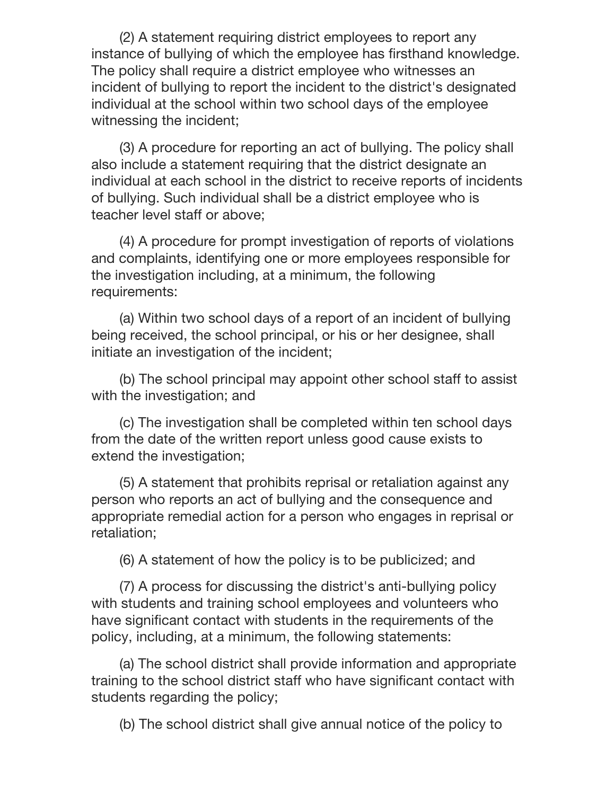(2) A statement requiring district employees to report any instance of bullying of which the employee has firsthand knowledge. The policy shall require a district employee who witnesses an incident of bullying to report the incident to the district's designated individual at the school within two school days of the employee witnessing the incident;

(3) A procedure for reporting an act of bullying. The policy shall also include a statement requiring that the district designate an individual at each school in the district to receive reports of incidents of bullying. Such individual shall be a district employee who is teacher level staff or above;

(4) A procedure for prompt investigation of reports of violations and complaints, identifying one or more employees responsible for the investigation including, at a minimum, the following requirements:

(a) Within two school days of a report of an incident of bullying being received, the school principal, or his or her designee, shall initiate an investigation of the incident;

(b) The school principal may appoint other school staff to assist with the investigation; and

(c) The investigation shall be completed within ten school days from the date of the written report unless good cause exists to extend the investigation;

(5) A statement that prohibits reprisal or retaliation against any person who reports an act of bullying and the consequence and appropriate remedial action for a person who engages in reprisal or retaliation;

(6) A statement of how the policy is to be publicized; and

(7) A process for discussing the district's anti-bullying policy with students and training school employees and volunteers who have significant contact with students in the requirements of the policy, including, at a minimum, the following statements:

(a) The school district shall provide information and appropriate training to the school district staff who have significant contact with students regarding the policy;

(b) The school district shall give annual notice of the policy to